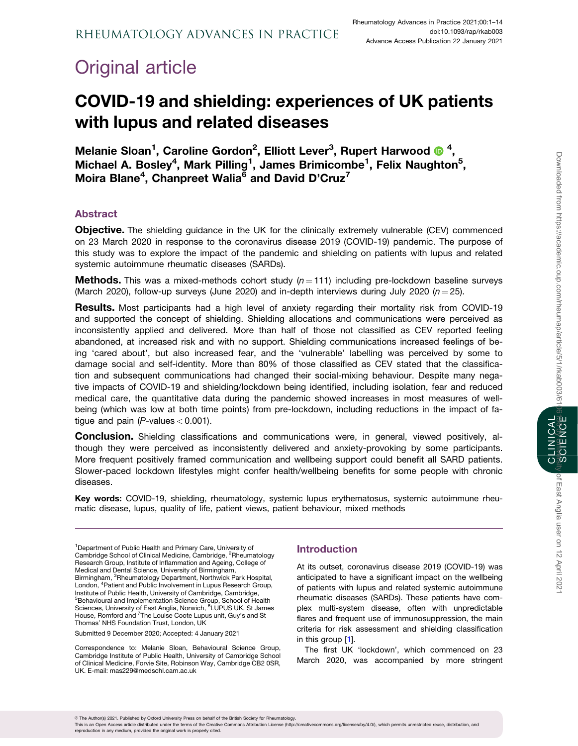# <span id="page-0-0"></span>Original article

# COVID-19 and shielding: experiences of UK patients with lupus and related diseases

Melanie Sloan<sup>1</sup>, Caroline Gordon<sup>2</sup>, Elliott Lever<sup>3</sup>, Rupert Harwood <sup>1</sup>, Michael A. Bosley<sup>4</sup>, Mark Pilling<sup>1</sup>, James Brimicombe<sup>1</sup>, Felix Naughton<sup>5</sup>, Moira Blane<sup>4</sup>, Chanpreet Walia<sup>6</sup> and David D'Cruz<sup>7</sup>

# Abstract

**Objective.** The shielding guidance in the UK for the clinically extremely vulnerable (CEV) commenced on 23 March 2020 in response to the coronavirus disease 2019 (COVID-19) pandemic. The purpose of this study was to explore the impact of the pandemic and shielding on patients with lupus and related systemic autoimmune rheumatic diseases (SARDs).

**Methods.** This was a mixed-methods cohort study  $(n = 111)$  including pre-lockdown baseline surveys (March 2020), follow-up surveys (June 2020) and in-depth interviews during July 2020 ( $n = 25$ ).

**Results.** Most participants had a high level of anxiety regarding their mortality risk from COVID-19 and supported the concept of shielding. Shielding allocations and communications were perceived as inconsistently applied and delivered. More than half of those not classified as CEV reported feeling abandoned, at increased risk and with no support. Shielding communications increased feelings of being 'cared about', but also increased fear, and the 'vulnerable' labelling was perceived by some to damage social and self-identity. More than 80% of those classified as CEV stated that the classification and subsequent communications had changed their social-mixing behaviour. Despite many negative impacts of COVID-19 and shielding/lockdown being identified, including isolation, fear and reduced medical care, the quantitative data during the pandemic showed increases in most measures of wellbeing (which was low at both time points) from pre-lockdown, including reductions in the impact of fatigue and pain ( $P$ -values < 0.001).

Conclusion. Shielding classifications and communications were, in general, viewed positively, although they were perceived as inconsistently delivered and anxiety-provoking by some participants. More frequent positively framed communication and wellbeing support could benefit all SARD patients. Slower-paced lockdown lifestyles might confer health/wellbeing benefits for some people with chronic diseases.

Key words: COVID-19, shielding, rheumatology, systemic lupus erythematosus, systemic autoimmune rheumatic disease, lupus, quality of life, patient views, patient behaviour, mixed methods

<sup>1</sup>Department of Public Health and Primary Care, University of Cambridge School of Clinical Medicine, Cambridge, <sup>2</sup>Rheumatology Research Group, Institute of Inflammation and Ageing, College of Medical and Dental Science, University of Birmingham, Birmingham, <sup>3</sup>Rheumatology Department, Northwick Park Hospital, London, <sup>4</sup> Patient and Public Involvement in Lupus Research Group, Institute of Public Health, University of Cambridge, Cambridge, 5 Behavioural and Implementation Science Group, School of Health Sciences, University of East Anglia, Norwich, <sup>6</sup>LUPUS UK, St James House, Romford and <sup>7</sup>The Louise Coote Lupus unit, Guy's and St Thomas' NHS Foundation Trust, London, UK

Submitted 9 December 2020; Accepted: 4 January 2021

Correspondence to: Melanie Sloan, Behavioural Science Group, Cambridge Institute of Public Health, University of Cambridge School of Clinical Medicine, Forvie Site, Robinson Way, Cambridge CB2 0SR, UK. E-mail: mas229@medschl.cam.ac.uk

# Introduction

At its outset, coronavirus disease 2019 (COVID-19) was anticipated to have a significant impact on the wellbeing of patients with lupus and related systemic autoimmune rheumatic diseases (SARDs). These patients have complex multi-system disease, often with unpredictable flares and frequent use of immunosuppression, the main criteria for risk assessment and shielding classification in this group [[1](#page-11-0)].

The first UK 'lockdown', which commenced on 23 March 2020, was accompanied by more stringent

This is an Open Access article distributed under the terms of the Creative Commons Attribution License (http://creativecommons.org/licenses/by/4.0/), which permits unrestricted reuse, distribution, and reproduction in any medium, provided the original work is properly cited.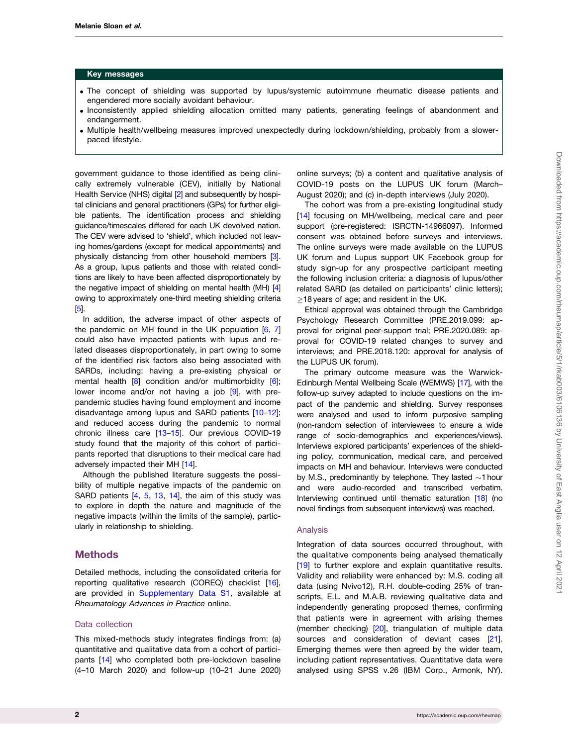#### <span id="page-1-0"></span>Key messages

- . The concept of shielding was supported by lupus/systemic autoimmune rheumatic disease patients and engendered more socially avoidant behaviour.
- . Inconsistently applied shielding allocation omitted many patients, generating feelings of abandonment and endangerment.
- . Multiple health/wellbeing measures improved unexpectedly during lockdown/shielding, probably from a slowerpaced lifestyle.

government guidance to those identified as being clinically extremely vulnerable (CEV), initially by National Health Service (NHS) digital [\[2\]](#page-11-0) and subsequently by hospital clinicians and general practitioners (GPs) for further eligible patients. The identification process and shielding guidance/timescales differed for each UK devolved nation. The CEV were advised to 'shield', which included not leaving homes/gardens (except for medical appointments) and physically distancing from other household members [[3](#page-11-0)]. As a group, lupus patients and those with related conditions are likely to have been affected disproportionately by the negative impact of shielding on mental health (MH) [\[4](#page-11-0)] owing to approximately one-third meeting shielding criteria [\[5\]](#page-11-0).

In addition, the adverse impact of other aspects of the pandemic on MH found in the UK population  $[6, 7]$  $[6, 7]$  $[6, 7]$  $[6, 7]$  $[6, 7]$ could also have impacted patients with lupus and related diseases disproportionately, in part owing to some of the identified risk factors also being associated with SARDs, including: having a pre-existing physical or mental health [[8\]](#page-11-0) condition and/or multimorbidity [\[6](#page-11-0)]; lower income and/or not having a job [\[9\]](#page-11-0), with prepandemic studies having found employment and income disadvantage among lupus and SARD patients [\[10](#page-11-0)–[12](#page-12-0)]; and reduced access during the pandemic to normal chronic illness care [\[13–15](#page-12-0)]. Our previous COVID-19 study found that the majority of this cohort of participants reported that disruptions to their medical care had adversely impacted their MH [\[14](#page-12-0)].

Although the published literature suggests the possibility of multiple negative impacts of the pandemic on SARD patients [\[4,](#page-11-0) [5,](#page-11-0) [13,](#page-12-0) [14](#page-12-0)], the aim of this study was to explore in depth the nature and magnitude of the negative impacts (within the limits of the sample), particularly in relationship to shielding.

## **Methods**

Detailed methods, including the consolidated criteria for reporting qualitative research (COREQ) checklist [[16](#page-12-0)], are provided in [Supplementary Data S1](https://academic.oup.com/rheumap/article-lookup/doi/10.1093/rap/rkab003#supplementary-data), available at Rheumatology Advances in Practice online.

## Data collection

This mixed-methods study integrates findings from: (a) quantitative and qualitative data from a cohort of participants [\[14](#page-12-0)] who completed both pre-lockdown baseline (4–10 March 2020) and follow-up (10–21 June 2020) online surveys; (b) a content and qualitative analysis of COVID-19 posts on the LUPUS UK forum (March– August 2020); and (c) in-depth interviews (July 2020).

The cohort was from a pre-existing longitudinal study [[14](#page-12-0)] focusing on MH/wellbeing, medical care and peer support (pre-registered: ISRCTN-14966097). Informed consent was obtained before surveys and interviews. The online surveys were made available on the LUPUS UK forum and Lupus support UK Facebook group for study sign-up for any prospective participant meeting the following inclusion criteria: a diagnosis of lupus/other related SARD (as detailed on participants' clinic letters);  $\ge$ 18 years of age; and resident in the UK.

Ethical approval was obtained through the Cambridge Psychology Research Committee (PRE.2019.099: approval for original peer-support trial; PRE.2020.089: approval for COVID-19 related changes to survey and interviews; and PRE.2018.120: approval for analysis of the LUPUS UK forum).

The primary outcome measure was the Warwick-Edinburgh Mental Wellbeing Scale (WEMWS) [\[17](#page-12-0)], with the follow-up survey adapted to include questions on the impact of the pandemic and shielding. Survey responses were analysed and used to inform purposive sampling (non-random selection of interviewees to ensure a wide range of socio-demographics and experiences/views). Interviews explored participants' experiences of the shielding policy, communication, medical care, and perceived impacts on MH and behaviour. Interviews were conducted by M.S., predominantly by telephone. They lasted  $\sim$ 1 hour and were audio-recorded and transcribed verbatim. Interviewing continued until thematic saturation [\[18](#page-12-0)] (no novel findings from subsequent interviews) was reached.

#### Analysis

Integration of data sources occurred throughout, with the qualitative components being analysed thematically [[19](#page-12-0)] to further explore and explain quantitative results. Validity and reliability were enhanced by: M.S. coding all data (using Nvivo12), R.H. double-coding 25% of transcripts, E.L. and M.A.B. reviewing qualitative data and independently generating proposed themes, confirming that patients were in agreement with arising themes (member checking) [[20\]](#page-12-0), triangulation of multiple data sources and consideration of deviant cases [[21](#page-12-0)]. Emerging themes were then agreed by the wider team, including patient representatives. Quantitative data were analysed using SPSS v.26 (IBM Corp., Armonk, NY).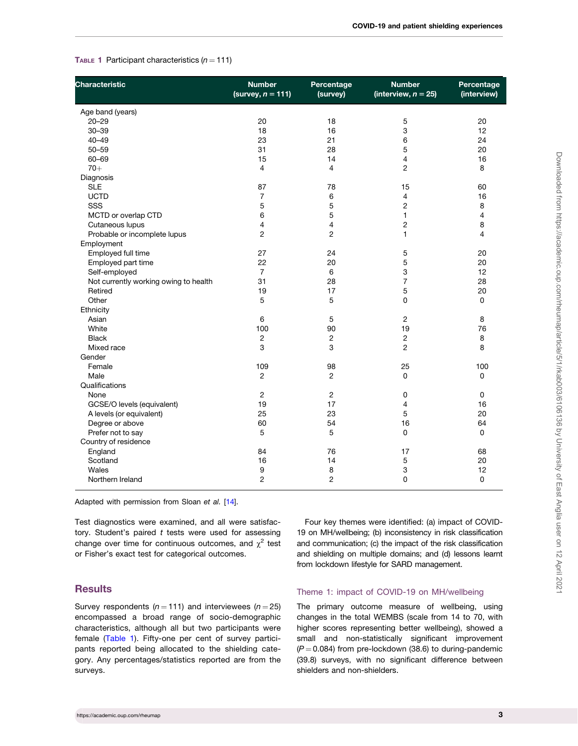| <b>Characteristic</b>                 | <b>Number</b><br>(survey, $n = 111$ ) | Percentage<br>(survey) | <b>Number</b><br>(interview, $n = 25$ ) | Percentage<br>(interview) |
|---------------------------------------|---------------------------------------|------------------------|-----------------------------------------|---------------------------|
| Age band (years)                      |                                       |                        |                                         |                           |
| $20 - 29$                             | 20                                    | 18                     | 5                                       | 20                        |
| $30 - 39$                             | 18                                    | 16                     | 3                                       | 12                        |
| $40 - 49$                             | 23                                    | 21                     | 6                                       | 24                        |
| $50 - 59$                             | 31                                    | 28                     | 5                                       | 20                        |
| 60-69                                 | 15                                    | 14                     | 4                                       | 16                        |
| $70+$                                 | $\overline{4}$                        | 4                      | 2                                       | 8                         |
| Diagnosis                             |                                       |                        |                                         |                           |
| <b>SLE</b>                            | 87                                    | 78                     | 15                                      | 60                        |
| <b>UCTD</b>                           | $\overline{7}$                        | 6                      | $\overline{4}$                          | 16                        |
| SSS                                   | 5                                     | 5                      | $\overline{c}$                          | 8                         |
| MCTD or overlap CTD                   | 6                                     | 5                      | $\mathbf{1}$                            | 4                         |
| Cutaneous lupus                       | 4                                     | 4                      | 2                                       | 8                         |
| Probable or incomplete lupus          | $\overline{2}$                        | $\overline{c}$         | 1                                       | 4                         |
| Employment                            |                                       |                        |                                         |                           |
| Employed full time                    | 27                                    | 24                     | 5                                       | 20                        |
| Employed part time                    | 22                                    | 20                     | 5                                       | 20                        |
| Self-employed                         | $\overline{7}$                        | 6                      | 3                                       | 12                        |
| Not currently working owing to health | 31                                    | 28                     | $\overline{7}$                          | 28                        |
| Retired                               | 19                                    | 17                     | 5                                       | 20                        |
| Other                                 | 5                                     | 5                      | 0                                       | 0                         |
| Ethnicity                             |                                       |                        |                                         |                           |
| Asian                                 | 6                                     | 5                      | $\overline{c}$                          | 8                         |
| White                                 | 100                                   | 90                     | 19                                      | 76                        |
| <b>Black</b>                          | $\overline{2}$                        | $\overline{c}$         | $\overline{c}$                          | 8                         |
| Mixed race                            | 3                                     | 3                      | $\overline{2}$                          | 8                         |
| Gender                                |                                       |                        |                                         |                           |
| Female                                | 109                                   | 98                     | 25                                      | 100                       |
| Male                                  | $\overline{2}$                        | $\overline{c}$         | 0                                       | 0                         |
| Qualifications                        |                                       |                        |                                         |                           |
| None                                  | $\overline{2}$                        | 2                      | 0                                       | 0                         |
| GCSE/O levels (equivalent)            | 19                                    | 17                     | 4                                       | 16                        |
| A levels (or equivalent)              | 25                                    | 23                     | 5                                       | 20                        |
| Degree or above                       | 60                                    | 54                     | 16                                      | 64                        |
| Prefer not to say                     | 5                                     | 5                      | 0                                       | 0                         |
| Country of residence                  |                                       |                        |                                         |                           |
| England                               | 84                                    | 76                     | 17                                      | 68                        |
| Scotland                              | 16                                    | 14                     | 5                                       | 20                        |
| Wales                                 | 9                                     | 8                      | 3                                       | 12                        |
| Northern Ireland                      | $\overline{2}$                        | $\overline{c}$         | 0                                       | 0                         |
|                                       |                                       |                        |                                         |                           |

#### TABLE 1 Participant characteristics  $(n = 111)$

Adapted with permission from Sloan et al. [[14](#page-12-0)].

Test diagnostics were examined, and all were satisfactory. Student's paired  $t$  tests were used for assessing change over time for continuous outcomes, and  $\chi^2$  test or Fisher's exact test for categorical outcomes.

## **Results**

Survey respondents ( $n = 111$ ) and interviewees ( $n = 25$ ) encompassed a broad range of socio-demographic characteristics, although all but two participants were female (Table 1). Fifty-one per cent of survey participants reported being allocated to the shielding category. Any percentages/statistics reported are from the surveys.

Four key themes were identified: (a) impact of COVID-19 on MH/wellbeing; (b) inconsistency in risk classification and communication; (c) the impact of the risk classification and shielding on multiple domains; and (d) lessons learnt from lockdown lifestyle for SARD management.

### Theme 1: impact of COVID-19 on MH/wellbeing

The primary outcome measure of wellbeing, using changes in the total WEMBS (scale from 14 to 70, with higher scores representing better wellbeing), showed a small and non-statistically significant improvement  $(P = 0.084)$  from pre-lockdown (38.6) to during-pandemic (39.8) surveys, with no significant difference between shielders and non-shielders.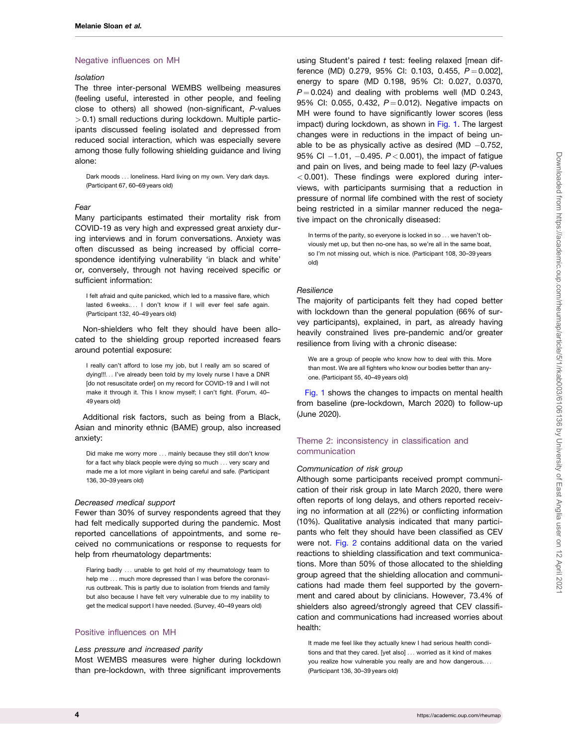#### Negative influences on MH

#### Isolation

The three inter-personal WEMBS wellbeing measures (feeling useful, interested in other people, and feeling close to others) all showed (non-significant, P-values  $> 0.1$ ) small reductions during lockdown. Multiple participants discussed feeling isolated and depressed from reduced social interaction, which was especially severe among those fully following shielding guidance and living alone:

Dark moods ... loneliness. Hard living on my own. Very dark days. (Participant 67, 60–69 years old)

## Fear

Many participants estimated their mortality risk from COVID-19 as very high and expressed great anxiety during interviews and in forum conversations. Anxiety was often discussed as being increased by official correspondence identifying vulnerability 'in black and white' or, conversely, through not having received specific or sufficient information:

I felt afraid and quite panicked, which led to a massive flare, which lasted 6 weeks.... I don't know if I will ever feel safe again. (Participant 132, 40–49 years old)

Non-shielders who felt they should have been allocated to the shielding group reported increased fears around potential exposure:

I really can't afford to lose my job, but I really am so scared of dying!!!... I've already been told by my lovely nurse I have a DNR [do not resuscitate order] on my record for COVID-19 and I will not make it through it. This I know myself; I can't fight. (Forum, 40– 49 years old)

Additional risk factors, such as being from a Black, Asian and minority ethnic (BAME) group, also increased anxiety:

Did make me worry more ... mainly because they still don't know for a fact why black people were dying so much ... very scary and made me a lot more vigilant in being careful and safe. (Participant 136, 30–39 years old)

#### Decreased medical support

Fewer than 30% of survey respondents agreed that they had felt medically supported during the pandemic. Most reported cancellations of appointments, and some received no communications or response to requests for help from rheumatology departments:

Flaring badly ... unable to get hold of my rheumatology team to help me ... much more depressed than I was before the coronavirus outbreak. This is partly due to isolation from friends and family but also because I have felt very vulnerable due to my inability to get the medical support I have needed. (Survey, 40–49 years old)

## Positive influences on MH

#### Less pressure and increased parity

Most WEMBS measures were higher during lockdown than pre-lockdown, with three significant improvements using Student's paired  $t$  test: feeling relaxed [mean difference (MD) 0.279, 95% CI: 0.103, 0.455,  $P = 0.002$ ], energy to spare (MD 0.198, 95% CI: 0.027, 0.0370,  $P = 0.024$ ) and dealing with problems well (MD 0.243, 95% CI: 0.055, 0.432,  $P = 0.012$ ). Negative impacts on MH were found to have significantly lower scores (less impact) during lockdown, as shown in [Fig. 1](#page-4-0). The largest changes were in reductions in the impact of being unable to be as physically active as desired (MD  $-0.752$ , 95% CI  $-1.01$ ,  $-0.495$ ,  $P < 0.001$ ), the impact of fatigue and pain on lives, and being made to feel lazy (P-values  $<$  0.001). These findings were explored during interviews, with participants surmising that a reduction in pressure of normal life combined with the rest of society being restricted in a similar manner reduced the negative impact on the chronically diseased:

In terms of the parity, so everyone is locked in so ... we haven't obviously met up, but then no-one has, so we're all in the same boat, so I'm not missing out, which is nice. (Participant 108, 30–39 years old)

#### **Resilience**

The majority of participants felt they had coped better with lockdown than the general population (66% of survey participants), explained, in part, as already having heavily constrained lives pre-pandemic and/or greater resilience from living with a chronic disease:

We are a group of people who know how to deal with this. More than most. We are all fighters who know our bodies better than anyone. (Participant 55, 40–49 years old)

[Fig. 1](#page-4-0) shows the changes to impacts on mental health from baseline (pre-lockdown, March 2020) to follow-up (June 2020).

## Theme 2: inconsistency in classification and communication

#### Communication of risk group

Although some participants received prompt communication of their risk group in late March 2020, there were often reports of long delays, and others reported receiving no information at all (22%) or conflicting information (10%). Qualitative analysis indicated that many participants who felt they should have been classified as CEV were not. [Fig. 2](#page-5-0) contains additional data on the varied reactions to shielding classification and text communications. More than 50% of those allocated to the shielding group agreed that the shielding allocation and communications had made them feel supported by the government and cared about by clinicians. However, 73.4% of shielders also agreed/strongly agreed that CEV classification and communications had increased worries about health:

It made me feel like they actually knew I had serious health conditions and that they cared. [yet also] ... worried as it kind of makes you realize how vulnerable you really are and how dangerous.... (Participant 136, 30–39 years old)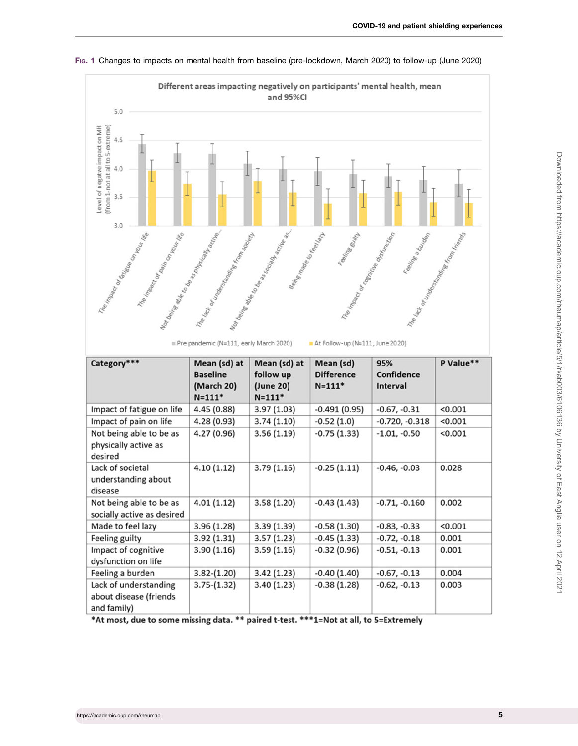

<span id="page-4-0"></span>FIG. 1 Changes to impacts on mental health from baseline (pre-lockdown, March 2020) to follow-up (June 2020)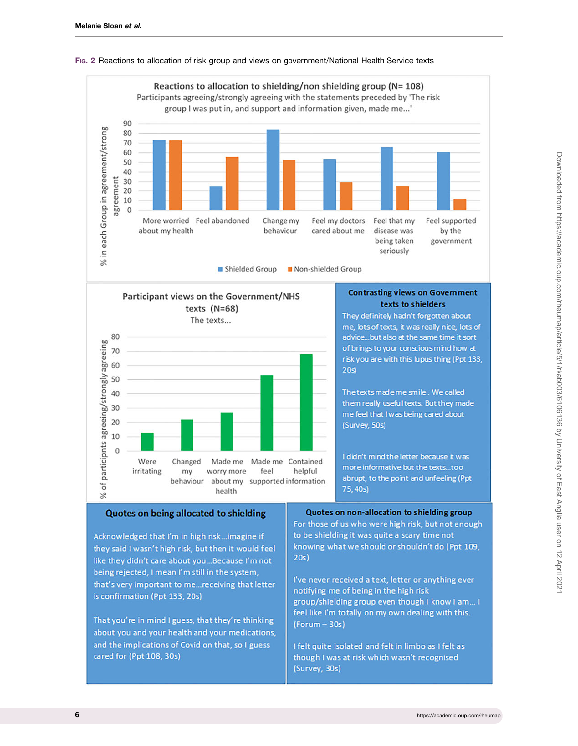

## <span id="page-5-0"></span>FIG. 2 Reactions to allocation of risk group and views on government/National Health Service texts

That you're in mind I guess, that they're thinking about you and your health and your medications, and the implications of Covid on that, so I guess cared for (Ppt 108, 30s)

group/shielding group even though I know I am... I feel like I'm totally on my own dealing with this.  $(Formula - 30s)$ 

I felt quite isolated and felt in limbo as I felt as though I was at risk which wasn't recognised (Survey, 30s)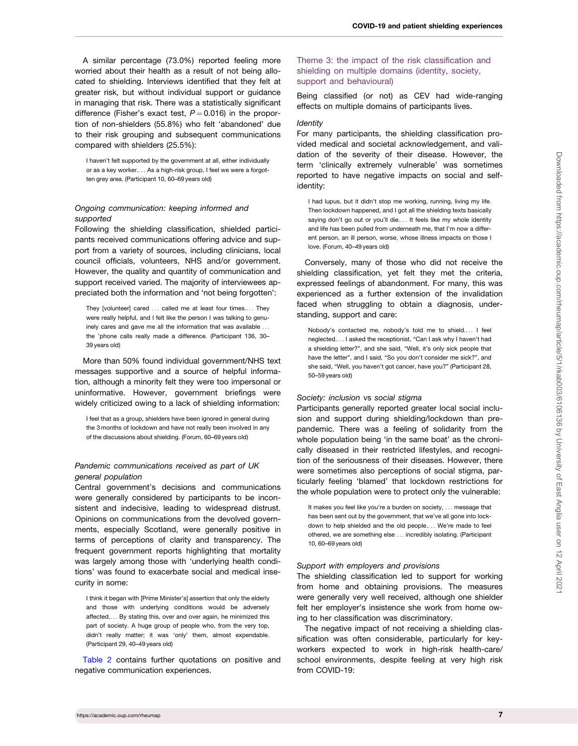A similar percentage (73.0%) reported feeling more worried about their health as a result of not being allocated to shielding. Interviews identified that they felt at greater risk, but without individual support or guidance in managing that risk. There was a statistically significant difference (Fisher's exact test,  $P = 0.016$ ) in the proportion of non-shielders (55.8%) who felt 'abandoned' due to their risk grouping and subsequent communications compared with shielders (25.5%):

I haven't felt supported by the government at all, either individually or as a key worker.... As a high-risk group, I feel we were a forgotten grey area. (Participant 10, 60–69 years old)

## Ongoing communication: keeping informed and supported

Following the shielding classification, shielded participants received communications offering advice and support from a variety of sources, including clinicians, local council officials, volunteers, NHS and/or government. However, the quality and quantity of communication and support received varied. The majority of interviewees appreciated both the information and 'not being forgotten':

They [volunteer] cared ... called me at least four times.... They were really helpful, and I felt like the person I was talking to genuinely cares and gave me all the information that was available ... the 'phone calls really made a difference. (Participant 136, 30– 39 years old)

More than 50% found individual government/NHS text messages supportive and a source of helpful information, although a minority felt they were too impersonal or uninformative. However, government briefings were widely criticized owing to a lack of shielding information:

I feel that as a group, shielders have been ignored in general during the 3 months of lockdown and have not really been involved in any of the discussions about shielding. (Forum, 60–69 years old)

## Pandemic communications received as part of UK general population

Central government's decisions and communications were generally considered by participants to be inconsistent and indecisive, leading to widespread distrust. Opinions on communications from the devolved governments, especially Scotland, were generally positive in terms of perceptions of clarity and transparency. The frequent government reports highlighting that mortality was largely among those with 'underlying health conditions' was found to exacerbate social and medical insecurity in some:

I think it began with [Prime Minister's] assertion that only the elderly and those with underlying conditions would be adversely affected.... By stating this, over and over again, he minimized this part of society. A huge group of people who, from the very top, didn't really matter; it was 'only' them, almost expendable. (Participant 29, 40–49 years old)

[Table 2](#page-7-0) contains further quotations on positive and negative communication experiences.

## Theme 3: the impact of the risk classification and shielding on multiple domains (identity, society, support and behavioural)

Being classified (or not) as CEV had wide-ranging effects on multiple domains of participants lives.

#### **Identity**

For many participants, the shielding classification provided medical and societal acknowledgement, and validation of the severity of their disease. However, the term 'clinically extremely vulnerable' was sometimes reported to have negative impacts on social and selfidentity:

I had lupus, but it didn't stop me working, running, living my life. Then lockdown happened, and I got all the shielding texts basically saying don't go out or you'll die.... It feels like my whole identity and life has been pulled from underneath me, that I'm now a different person, an ill person, worse, whose illness impacts on those I love. (Forum, 40–49 years old)

Conversely, many of those who did not receive the shielding classification, yet felt they met the criteria, expressed feelings of abandonment. For many, this was experienced as a further extension of the invalidation faced when struggling to obtain a diagnosis, understanding, support and care:

Nobody's contacted me, nobody's told me to shield.... I feel neglected.... I asked the receptionist, "Can I ask why I haven't had a shielding letter?", and she said, "Well, it's only sick people that have the letter", and I said, "So you don't consider me sick?", and she said, "Well, you haven't got cancer, have you?" (Participant 28, 50–59 years old)

#### Society: inclusion vs social stigma

Participants generally reported greater local social inclusion and support during shielding/lockdown than prepandemic. There was a feeling of solidarity from the whole population being 'in the same boat' as the chronically diseased in their restricted lifestyles, and recognition of the seriousness of their diseases. However, there were sometimes also perceptions of social stigma, particularly feeling 'blamed' that lockdown restrictions for the whole population were to protect only the vulnerable:

It makes you feel like you're a burden on society, ... message that has been sent out by the government, that we've all gone into lockdown to help shielded and the old people.... We're made to feel othered, we are something else ... incredibly isolating. (Participant 10, 60–69 years old)

#### Support with employers and provisions

The shielding classification led to support for working from home and obtaining provisions. The measures were generally very well received, although one shielder felt her employer's insistence she work from home owing to her classification was discriminatory.

The negative impact of not receiving a shielding classification was often considerable, particularly for keyworkers expected to work in high-risk health-care/ school environments, despite feeling at very high risk from COVID-19: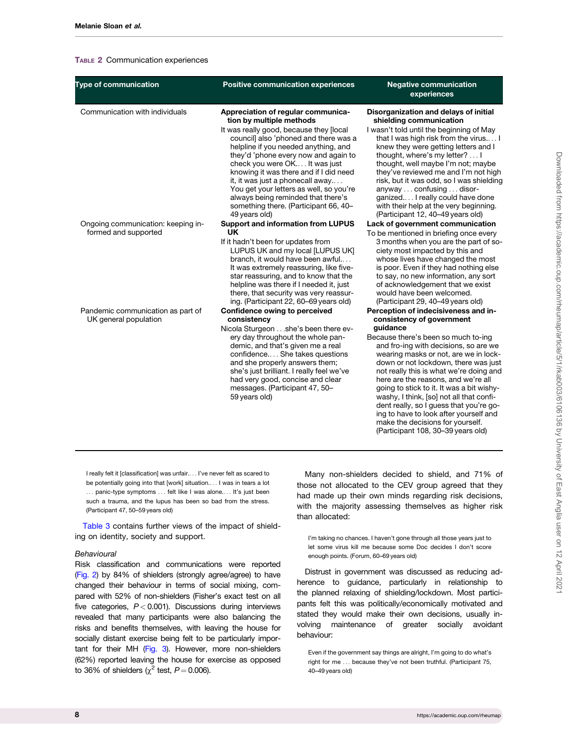#### <span id="page-7-0"></span>TABLE 2 Communication experiences

| <b>Type of communication</b>                               | <b>Positive communication experiences</b>                                                                                                                                                                                                                                                                                                                                                                                                                                                    | <b>Negative communication</b><br>experiences                                                                                                                                                                                                                                                                                                                                                                                                                                                                                                                                             |
|------------------------------------------------------------|----------------------------------------------------------------------------------------------------------------------------------------------------------------------------------------------------------------------------------------------------------------------------------------------------------------------------------------------------------------------------------------------------------------------------------------------------------------------------------------------|------------------------------------------------------------------------------------------------------------------------------------------------------------------------------------------------------------------------------------------------------------------------------------------------------------------------------------------------------------------------------------------------------------------------------------------------------------------------------------------------------------------------------------------------------------------------------------------|
| Communication with individuals                             | Appreciation of regular communica-<br>tion by multiple methods<br>It was really good, because they [local<br>council] also 'phoned and there was a<br>helpline if you needed anything, and<br>they'd 'phone every now and again to<br>check you were OK It was just<br>knowing it was there and if I did need<br>it, it was just a phonecall away<br>You get your letters as well, so you're<br>always being reminded that there's<br>something there. (Participant 66, 40-<br>49 years old) | Disorganization and delays of initial<br>shielding communication<br>I wasn't told until the beginning of May<br>that I was high risk from the virus I<br>knew they were getting letters and I<br>thought, where's my letter?  I<br>thought, well maybe I'm not; maybe<br>they've reviewed me and I'm not high<br>risk, but it was odd, so I was shielding<br>anyway  confusing  disor-<br>ganized I really could have done<br>with their help at the very beginning.<br>(Participant 12, 40-49 years old)                                                                                |
| Ongoing communication: keeping in-<br>formed and supported | <b>Support and information from LUPUS</b><br><b>UK</b><br>If it hadn't been for updates from<br>LUPUS UK and my local [LUPUS UK]<br>branch, it would have been awful<br>It was extremely reassuring, like five-<br>star reassuring, and to know that the<br>helpline was there if I needed it, just<br>there, that security was very reassur-<br>ing. (Participant 22, 60-69 years old)                                                                                                      | Lack of government communication<br>To be mentioned in briefing once every<br>3 months when you are the part of so-<br>ciety most impacted by this and<br>whose lives have changed the most<br>is poor. Even if they had nothing else<br>to say, no new information, any sort<br>of acknowledgement that we exist<br>would have been welcomed.<br>(Participant 29, 40-49 years old)                                                                                                                                                                                                      |
| Pandemic communication as part of<br>UK general population | Confidence owing to perceived<br>consistency<br>Nicola Sturgeon she's been there ev-<br>ery day throughout the whole pan-<br>demic, and that's given me a real<br>confidence She takes questions<br>and she properly answers them;<br>she's just brilliant. I really feel we've<br>had very good, concise and clear<br>messages. (Participant 47, 50-<br>59 years old)                                                                                                                       | Perception of indecisiveness and in-<br>consistency of government<br>guidance<br>Because there's been so much to-ing<br>and fro-ing with decisions, so are we<br>wearing masks or not, are we in lock-<br>down or not lockdown, there was just<br>not really this is what we're doing and<br>here are the reasons, and we're all<br>going to stick to it. It was a bit wishy-<br>washy, I think, [so] not all that confi-<br>dent really, so I guess that you're go-<br>ing to have to look after yourself and<br>make the decisions for yourself.<br>(Participant 108, 30-39 years old) |

I really felt it [classification] was unfair.... I've never felt as scared to be potentially going into that [work] situation.... I was in tears a lot ... panic-type symptoms ... felt like I was alone.... It's just been such a trauma, and the lupus has been so bad from the stress. (Participant 47, 50–59 years old)

[Table 3](#page-8-0) contains further views of the impact of shielding on identity, society and support.

#### **Behavioural**

Risk classification and communications were reported [\(Fig. 2](#page-5-0)) by 84% of shielders (strongly agree/agree) to have changed their behaviour in terms of social mixing, compared with 52% of non-shielders (Fisher's exact test on all five categories,  $P < 0.001$ ). Discussions during interviews revealed that many participants were also balancing the risks and benefits themselves, with leaving the house for socially distant exercise being felt to be particularly impor-tant for their MH ([Fig. 3](#page-9-0)). However, more non-shielders (62%) reported leaving the house for exercise as opposed to 36% of shielders ( $\chi^2$  test,  $P = 0.006$ ).

Many non-shielders decided to shield, and 71% of those not allocated to the CEV group agreed that they had made up their own minds regarding risk decisions, with the majority assessing themselves as higher risk than allocated:

I'm taking no chances. I haven't gone through all those years just to let some virus kill me because some Doc decides I don't score enough points. (Forum, 60–69 years old)

Distrust in government was discussed as reducing adherence to guidance, particularly in relationship to the planned relaxing of shielding/lockdown. Most participants felt this was politically/economically motivated and stated they would make their own decisions, usually involving maintenance of greater socially avoidant behaviour:

Even if the government say things are alright, I'm going to do what's right for me ... because they've not been truthful. (Participant 75, 40–49 years old)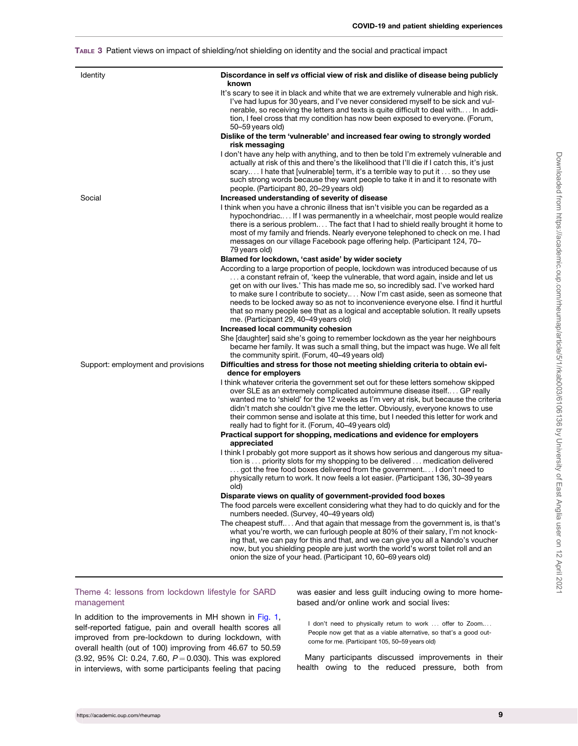## <span id="page-8-0"></span>TABLE 3 Patient views on impact of shielding/not shielding on identity and the social and practical impact

| <b>Identity</b>                    | Discordance in self vs official view of risk and dislike of disease being publicly<br>known                                                                                                                                                                                                                                                                                                                                                                                                                                                                             |
|------------------------------------|-------------------------------------------------------------------------------------------------------------------------------------------------------------------------------------------------------------------------------------------------------------------------------------------------------------------------------------------------------------------------------------------------------------------------------------------------------------------------------------------------------------------------------------------------------------------------|
|                                    | It's scary to see it in black and white that we are extremely vulnerable and high risk.<br>I've had lupus for 30 years, and I've never considered myself to be sick and vul-<br>nerable, so receiving the letters and texts is quite difficult to deal with In addi-<br>tion, I feel cross that my condition has now been exposed to everyone. (Forum,<br>50-59 years old)                                                                                                                                                                                              |
|                                    | Dislike of the term 'vulnerable' and increased fear owing to strongly worded<br>risk messaging                                                                                                                                                                                                                                                                                                                                                                                                                                                                          |
|                                    | I don't have any help with anything, and to then be told I'm extremely vulnerable and<br>actually at risk of this and there's the likelihood that I'll die if I catch this, it's just<br>scary I hate that [vulnerable] term, it's a terrible way to put it  so they use<br>such strong words because they want people to take it in and it to resonate with<br>people. (Participant 80, 20-29 years old)                                                                                                                                                               |
| Social                             | Increased understanding of severity of disease                                                                                                                                                                                                                                                                                                                                                                                                                                                                                                                          |
|                                    | I think when you have a chronic illness that isn't visible you can be regarded as a<br>hypochondriac If I was permanently in a wheelchair, most people would realize<br>there is a serious problem The fact that I had to shield really brought it home to<br>most of my family and friends. Nearly everyone telephoned to check on me. I had<br>messages on our village Facebook page offering help. (Participant 124, 70-<br>79 years old)                                                                                                                            |
|                                    | Blamed for lockdown, 'cast aside' by wider society                                                                                                                                                                                                                                                                                                                                                                                                                                                                                                                      |
|                                    | According to a large proportion of people, lockdown was introduced because of us<br>$\dots$ a constant refrain of, 'keep the vulnerable, that word again, inside and let us<br>get on with our lives.' This has made me so, so incredibly sad. I've worked hard<br>to make sure I contribute to society Now I'm cast aside, seen as someone that<br>needs to be locked away so as not to inconvenience everyone else. I find it hurtful<br>that so many people see that as a logical and acceptable solution. It really upsets<br>me. (Participant 29, 40-49 years old) |
|                                    | Increased local community cohesion                                                                                                                                                                                                                                                                                                                                                                                                                                                                                                                                      |
|                                    | She [daughter] said she's going to remember lockdown as the year her neighbours<br>became her family. It was such a small thing, but the impact was huge. We all felt<br>the community spirit. (Forum, 40-49 years old)                                                                                                                                                                                                                                                                                                                                                 |
| Support: employment and provisions | Difficulties and stress for those not meeting shielding criteria to obtain evi-<br>dence for employers                                                                                                                                                                                                                                                                                                                                                                                                                                                                  |
|                                    | I think whatever criteria the government set out for these letters somehow skipped<br>over SLE as an extremely complicated autoimmune disease itself GP really<br>wanted me to 'shield' for the 12 weeks as I'm very at risk, but because the criteria<br>didn't match she couldn't give me the letter. Obviously, everyone knows to use<br>their common sense and isolate at this time, but I needed this letter for work and<br>really had to fight for it. (Forum, 40-49 years old)                                                                                  |
|                                    | Practical support for shopping, medications and evidence for employers<br>appreciated                                                                                                                                                                                                                                                                                                                                                                                                                                                                                   |
|                                    | I think I probably got more support as it shows how serious and dangerous my situa-<br>tion is  priority slots for my shopping to be delivered  medication delivered<br>got the free food boxes delivered from the government I don't need to<br>physically return to work. It now feels a lot easier. (Participant 136, 30–39 years<br>old)                                                                                                                                                                                                                            |
|                                    | Disparate views on quality of government-provided food boxes                                                                                                                                                                                                                                                                                                                                                                                                                                                                                                            |
|                                    | The food parcels were excellent considering what they had to do quickly and for the<br>numbers needed. (Survey, 40-49 years old)                                                                                                                                                                                                                                                                                                                                                                                                                                        |
|                                    | The cheapest stuff And that again that message from the government is, is that's<br>what you're worth, we can furlough people at 80% of their salary, I'm not knock-<br>ing that, we can pay for this and that, and we can give you all a Nando's voucher<br>now, but you shielding people are just worth the world's worst toilet roll and an<br>onion the size of your head. (Participant 10, 60-69 years old)                                                                                                                                                        |

## Theme 4: lessons from lockdown lifestyle for SARD management

In addition to the improvements in MH shown in [Fig. 1](#page-4-0), self-reported fatigue, pain and overall health scores all improved from pre-lockdown to during lockdown, with overall health (out of 100) improving from 46.67 to 50.59  $(3.92, 95\% \text{ Cl: } 0.24, 7.60, P = 0.030)$ . This was explored in interviews, with some participants feeling that pacing

was easier and less guilt inducing owing to more homebased and/or online work and social lives:

I don't need to physically return to work ... offer to Zoom.... People now get that as a viable alternative, so that's a good outcome for me. (Participant 105, 50–59 years old)

Many participants discussed improvements in their health owing to the reduced pressure, both from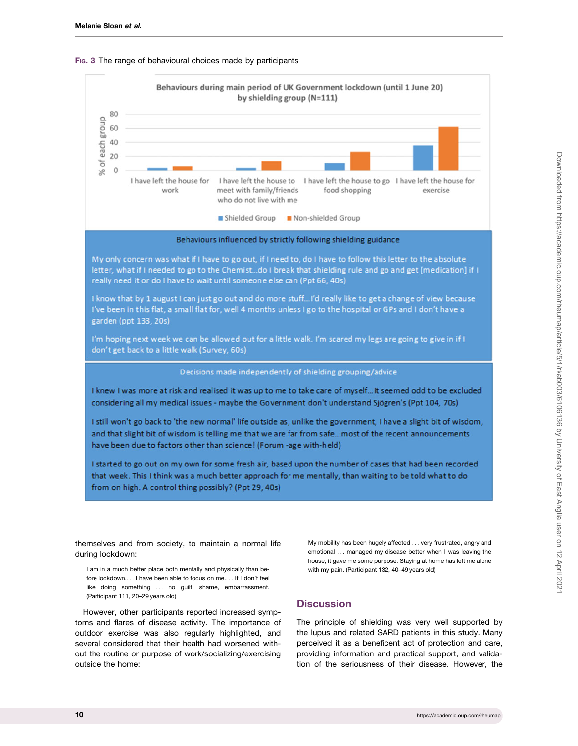<span id="page-9-0"></span>





My only concern was what if I have to go out, if I need to, do I have to follow this letter to the absolute letter, what if I needed to go to the Chemist...do I break that shielding rule and go and get [medication] if I really need it or do I have to wait until someone else can (Ppt 66, 40s)

I know that by 1 august I can just go out and do more stuff...I'd really like to get a change of view because I've been in this flat, a small flat for, well 4 months unless I go to the hospital or GPs and I don't have a garden (ppt 133, 20s)

I'm hoping next week we can be allowed out for a little walk. I'm scared my legs are going to give in if I don't get back to a little walk (Survey, 60s)

Decisions made independently of shielding grouping/advice

I knew I was more at risk and realised it was up to me to take care of myself... It seemed odd to be excluded considering all my medical issues - maybe the Government don't understand Sjögren's (Ppt 104, 70s)

I still won't go back to 'the new normal' life outside as, unlike the government, I have a slight bit of wisdom, and that slight bit of wisdom is telling me that we are far from safe...most of the recent announcements have been due to factors other than science! (Forum -age with-held)

I started to go out on my own for some fresh air, based upon the number of cases that had been recorded that week. This I think was a much better approach for me mentally, than waiting to be told what to do from on high. A control thing possibly? (Ppt 29, 40s)

themselves and from society, to maintain a normal life during lockdown:

I am in a much better place both mentally and physically than before lockdown.... I have been able to focus on me.... If I don't feel like doing something ... no guilt, shame, embarrassment. (Participant 111, 20–29 years old)

However, other participants reported increased symptoms and flares of disease activity. The importance of outdoor exercise was also regularly highlighted, and several considered that their health had worsened without the routine or purpose of work/socializing/exercising outside the home:

My mobility has been hugely affected ... very frustrated, angry and emotional ... managed my disease better when I was leaving the house; it gave me some purpose. Staying at home has left me alone with my pain. (Participant 132, 40–49 years old)

## **Discussion**

The principle of shielding was very well supported by the lupus and related SARD patients in this study. Many perceived it as a beneficent act of protection and care, providing information and practical support, and validation of the seriousness of their disease. However, the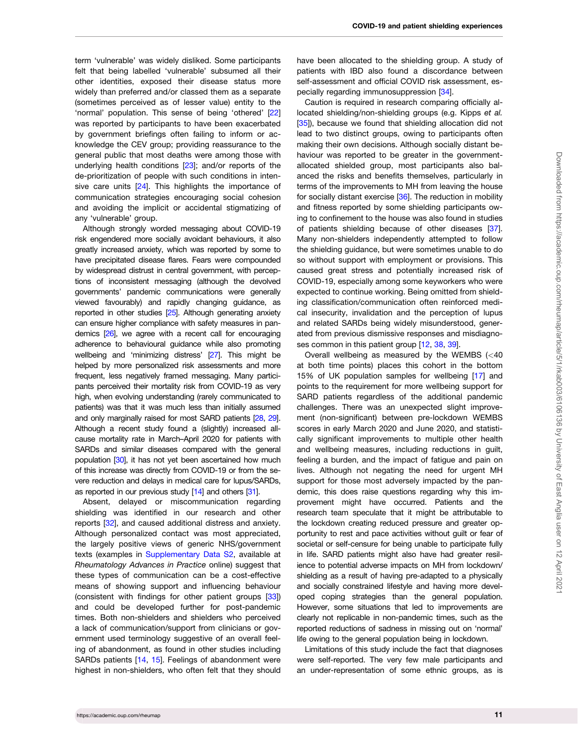<span id="page-10-0"></span>term 'vulnerable' was widely disliked. Some participants felt that being labelled 'vulnerable' subsumed all their other identities, exposed their disease status more widely than preferred and/or classed them as a separate (sometimes perceived as of lesser value) entity to the 'normal' population. This sense of being 'othered' [\[22](#page-12-0)] was reported by participants to have been exacerbated by government briefings often failing to inform or acknowledge the CEV group; providing reassurance to the general public that most deaths were among those with underlying health conditions [[23](#page-12-0)]; and/or reports of the de-prioritization of people with such conditions in inten-sive care units [[24\]](#page-12-0). This highlights the importance of communication strategies encouraging social cohesion and avoiding the implicit or accidental stigmatizing of any 'vulnerable' group.

Although strongly worded messaging about COVID-19 risk engendered more socially avoidant behaviours, it also greatly increased anxiety, which was reported by some to have precipitated disease flares. Fears were compounded by widespread distrust in central government, with perceptions of inconsistent messaging (although the devolved governments' pandemic communications were generally viewed favourably) and rapidly changing guidance, as reported in other studies [[25](#page-12-0)]. Although generating anxiety can ensure higher compliance with safety measures in pandemics [\[26\]](#page-12-0), we agree with a recent call for encouraging adherence to behavioural guidance while also promoting wellbeing and 'minimizing distress' [\[27](#page-12-0)]. This might be helped by more personalized risk assessments and more frequent, less negatively framed messaging. Many participants perceived their mortality risk from COVID-19 as very high, when evolving understanding (rarely communicated to patients) was that it was much less than initially assumed and only marginally raised for most SARD patients [\[28](#page-12-0), [29](#page-12-0)]. Although a recent study found a (slightly) increased allcause mortality rate in March–April 2020 for patients with SARDs and similar diseases compared with the general population [[30](#page-12-0)], it has not yet been ascertained how much of this increase was directly from COVID-19 or from the severe reduction and delays in medical care for lupus/SARDs, as reported in our previous study [\[14](#page-12-0)] and others [[31\]](#page-12-0).

Absent, delayed or miscommunication regarding shielding was identified in our research and other reports [[32](#page-12-0)], and caused additional distress and anxiety. Although personalized contact was most appreciated, the largely positive views of generic NHS/government texts (examples in [Supplementary Data S2](https://academic.oup.com/rheumap/article-lookup/doi/10.1093/rap/rkab003#supplementary-data), available at Rheumatology Advances in Practice online) suggest that these types of communication can be a cost-effective means of showing support and influencing behaviour (consistent with findings for other patient groups [[33](#page-12-0)]) and could be developed further for post-pandemic times. Both non-shielders and shielders who perceived a lack of communication/support from clinicians or government used terminology suggestive of an overall feeling of abandonment, as found in other studies including SARDs patients [\[14,](#page-12-0) [15\]](#page-12-0). Feelings of abandonment were highest in non-shielders, who often felt that they should

have been allocated to the shielding group. A study of patients with IBD also found a discordance between self-assessment and official COVID risk assessment, especially regarding immunosuppression [\[34\]](#page-12-0).

Caution is required in research comparing officially allocated shielding/non-shielding groups (e.g. Kipps et al. [[35](#page-12-0)]), because we found that shielding allocation did not lead to two distinct groups, owing to participants often making their own decisions. Although socially distant behaviour was reported to be greater in the governmentallocated shielded group, most participants also balanced the risks and benefits themselves, particularly in terms of the improvements to MH from leaving the house for socially distant exercise [[36](#page-12-0)]. The reduction in mobility and fitness reported by some shielding participants owing to confinement to the house was also found in studies of patients shielding because of other diseases [[37](#page-12-0)]. Many non-shielders independently attempted to follow the shielding guidance, but were sometimes unable to do so without support with employment or provisions. This caused great stress and potentially increased risk of COVID-19, especially among some keyworkers who were expected to continue working. Being omitted from shielding classification/communication often reinforced medical insecurity, invalidation and the perception of lupus and related SARDs being widely misunderstood, generated from previous dismissive responses and misdiagnoses common in this patient group [\[12,](#page-12-0) [38,](#page-12-0) [39\]](#page-12-0).

Overall wellbeing as measured by the WEMBS (<40 at both time points) places this cohort in the bottom 15% of UK population samples for wellbeing [[17\]](#page-12-0) and points to the requirement for more wellbeing support for SARD patients regardless of the additional pandemic challenges. There was an unexpected slight improvement (non-significant) between pre-lockdown WEMBS scores in early March 2020 and June 2020, and statistically significant improvements to multiple other health and wellbeing measures, including reductions in guilt, feeling a burden, and the impact of fatigue and pain on lives. Although not negating the need for urgent MH support for those most adversely impacted by the pandemic, this does raise questions regarding why this improvement might have occurred. Patients and the research team speculate that it might be attributable to the lockdown creating reduced pressure and greater opportunity to rest and pace activities without guilt or fear of societal or self-censure for being unable to participate fully in life. SARD patients might also have had greater resilience to potential adverse impacts on MH from lockdown/ shielding as a result of having pre-adapted to a physically and socially constrained lifestyle and having more developed coping strategies than the general population. However, some situations that led to improvements are clearly not replicable in non-pandemic times, such as the reported reductions of sadness in missing out on 'normal' life owing to the general population being in lockdown.

Limitations of this study include the fact that diagnoses were self-reported. The very few male participants and an under-representation of some ethnic groups, as is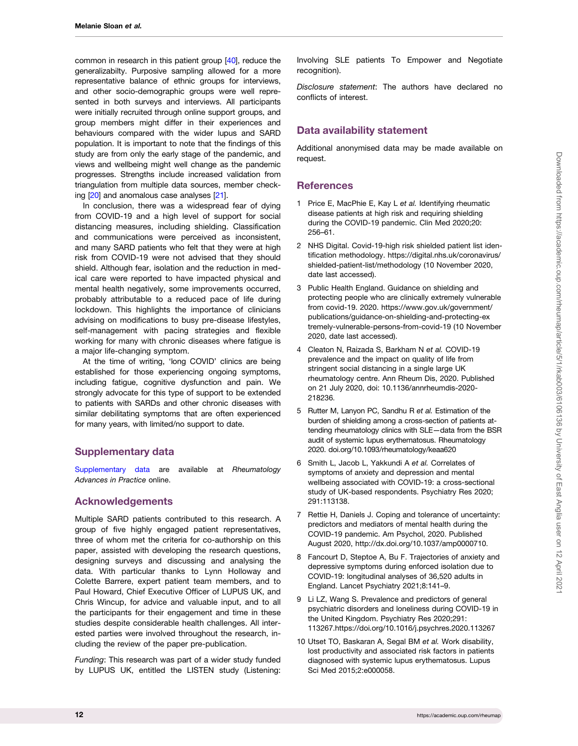<span id="page-11-0"></span>common in research in this patient group [\[40\]](#page-13-0), reduce the generalizabilty. Purposive sampling allowed for a more representative balance of ethnic groups for interviews, and other socio-demographic groups were well represented in both surveys and interviews. All participants were initially recruited through online support groups, and group members might differ in their experiences and behaviours compared with the wider lupus and SARD population. It is important to note that the findings of this study are from only the early stage of the pandemic, and views and wellbeing might well change as the pandemic progresses. Strengths include increased validation from triangulation from multiple data sources, member checking [\[20\]](#page-12-0) and anomalous case analyses [\[21](#page-12-0)].

In conclusion, there was a widespread fear of dying from COVID-19 and a high level of support for social distancing measures, including shielding. Classification and communications were perceived as inconsistent, and many SARD patients who felt that they were at high risk from COVID-19 were not advised that they should shield. Although fear, isolation and the reduction in medical care were reported to have impacted physical and mental health negatively, some improvements occurred, probably attributable to a reduced pace of life during lockdown. This highlights the importance of clinicians advising on modifications to busy pre-disease lifestyles, self-management with pacing strategies and flexible working for many with chronic diseases where fatigue is a major life-changing symptom.

At the time of writing, 'long COVID' clinics are being established for those experiencing ongoing symptoms, including fatigue, cognitive dysfunction and pain. We strongly advocate for this type of support to be extended to patients with SARDs and other chronic diseases with similar debilitating symptoms that are often experienced for many years, with limited/no support to date.

## Supplementary data

[Supplementary data](https://academic.oup.com/rheumap/article-lookup/doi/10.1093/rap/rkab003#supplementary-data) are available at Rheumatology Advances in Practice online.

## Acknowledgements

Multiple SARD patients contributed to this research. A group of five highly engaged patient representatives, three of whom met the criteria for co-authorship on this paper, assisted with developing the research questions, designing surveys and discussing and analysing the data. With particular thanks to Lynn Holloway and Colette Barrere, expert patient team members, and to Paul Howard, Chief Executive Officer of LUPUS UK, and Chris Wincup, for advice and valuable input, and to all the participants for their engagement and time in these studies despite considerable health challenges. All interested parties were involved throughout the research, including the review of the paper pre-publication.

Funding: This research was part of a wider study funded by LUPUS UK, entitled the LISTEN study (Listening:

Involving SLE patients To Empower and Negotiate recognition).

Disclosure statement: The authors have declared no conflicts of interest.

## Data availability statement

Additional anonymised data may be made available on request.

## **References**

- [1](#page-0-0) Price E, MacPhie E, Kay L et al. Identifying rheumatic disease patients at high risk and requiring shielding during the COVID-19 pandemic. Clin Med 2020;20: 256–61.
- [2](#page-1-0) NHS Digital. Covid-19-high risk shielded patient list identification methodology. [https://digital.nhs.uk/coronavirus/](https://digital.nhs.uk/coronavirus/shielded-patient-list/methodology) [shielded-patient-list/methodology \(10 November 2020,](https://digital.nhs.uk/coronavirus/shielded-patient-list/methodology) [date last accessed\).](https://digital.nhs.uk/coronavirus/shielded-patient-list/methodology)
- [3](#page-1-0) Public Health England. Guidance on shielding and protecting people who are clinically extremely vulnerable from covid-19. 2020. [https://www.gov.uk/government/](https://www.gov.uk/government/publications/guidance-on-shielding-and-protecting-extremely-vulnerable-persons-from-covid-19) [publications/guidance-on-shielding-and-protecting-ex](https://www.gov.uk/government/publications/guidance-on-shielding-and-protecting-extremely-vulnerable-persons-from-covid-19) [tremely-vulnerable-persons-from-covid-19 \(10 November](https://www.gov.uk/government/publications/guidance-on-shielding-and-protecting-extremely-vulnerable-persons-from-covid-19) [2020, date last accessed\).](https://www.gov.uk/government/publications/guidance-on-shielding-and-protecting-extremely-vulnerable-persons-from-covid-19)
- [4](#page-1-0) Cleaton N, Raizada S, Barkham N et al. COVID-19 prevalence and the impact on quality of life from stringent social distancing in a single large UK rheumatology centre. Ann Rheum Dis, 2020. Published on 21 July 2020, doi: [10.1136/annrheumdis-2020-](https://doi.org/10.1136/annrheumdis-2020-218236) [218236.](https://doi.org/10.1136/annrheumdis-2020-218236)
- [5](#page-1-0) Rutter M, Lanyon PC, Sandhu R et al. Estimation of the burden of shielding among a cross-section of patients attending rheumatology clinics with SLE—data from the BSR audit of systemic lupus erythematosus. Rheumatology 2020. doi.org/10.1093/rheumatology/keaa620
- [6](#page-1-0) Smith L, Jacob L, Yakkundi A et al. Correlates of symptoms of anxiety and depression and mental wellbeing associated with COVID-19: a cross-sectional study of UK-based respondents. Psychiatry Res 2020; 291:113138.
- [7](#page-1-0) Rettie H, Daniels J. Coping and tolerance of uncertainty: predictors and mediators of mental health during the COVID-19 pandemic. Am Psychol, 2020. Published August 2020, [http://dx.doi.org/10.1037/amp0000710](http://doi.org/10.1037/amp0000710Fancourt).
- [8](#page-1-0) Fancourt D, Steptoe A, Bu F. Trajectories of anxiety and depressive symptoms during enforced isolation due to COVID-19: longitudinal analyses of 36,520 adults in England. Lancet Psychiatry 2021;8:141–9.
- [9](#page-1-0) Li LZ, Wang S. Prevalence and predictors of general psychiatric disorders and loneliness during COVID-19 in the United Kingdom. Psychiatry Res 2020;291: 113267[.https://doi.org/10.1016/j.psychres.2020.113267](https://doi.org/10.1016/j.psychres.2020.113267)
- 10 Utset TO, Baskaran A, Segal BM et al. Work disability, lost productivity and associated risk factors in patients diagnosed with systemic lupus erythematosus. Lupus Sci Med 2015;2:e000058.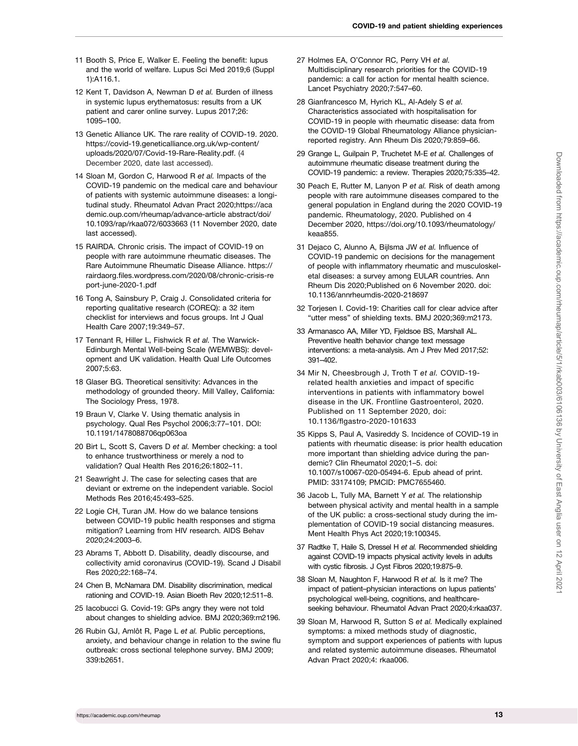- <span id="page-12-0"></span>11 Booth S, Price E, Walker E. Feeling the benefit: lupus and the world of welfare. Lupus Sci Med 2019;6 (Suppl 1):A116.1.
- [12](#page-10-0) Kent T, Davidson A, Newman D et al. Burden of illness in systemic lupus erythematosus: results from a UK patient and carer online survey. Lupus 2017;26: 1095–100.
- [13](#page-1-0) Genetic Alliance UK. The rare reality of COVID-19. 2020. [https://covid-19.geneticalliance.org.uk/wp-content/](https://covid-19.geneticalliance.org.uk/wp-content/uploads/2020/07/Covid-19-Rare-Reality.pdf) [uploads/2020/07/Covid-19-Rare-Reality.pdf.](https://covid-19.geneticalliance.org.uk/wp-content/uploads/2020/07/Covid-19-Rare-Reality.pdf) (4 December 2020, date last accessed).
- [14](#page-1-0) Sloan M, Gordon C, Harwood R et al. Impacts of the COVID-19 pandemic on the medical care and behaviour of patients with systemic autoimmune diseases: a longitudinal study. Rheumatol Advan Pract 2020[;https://aca](https://academic.oup.com/rheumap/advance-article abstract/doi/10.1093/rap/rkaa072/6033663) [demic.oup.com/rheumap/advance-article abstract/doi/](https://academic.oup.com/rheumap/advance-article abstract/doi/10.1093/rap/rkaa072/6033663) [10.1093/rap/rkaa072/6033663 \(11 November 2020, date](https://academic.oup.com/rheumap/advance-article abstract/doi/10.1093/rap/rkaa072/6033663) [last accessed\).](https://academic.oup.com/rheumap/advance-article abstract/doi/10.1093/rap/rkaa072/6033663)
- [15](#page-10-0) RAIRDA. Chronic crisis. The impact of COVID-19 on people with rare autoimmune rheumatic diseases. The Rare Autoimmune Rheumatic Disease Alliance. [https://](https://rairdaorg.files.wordpress.com/2020/08/chronic-crisis-report-june-2020-1.pdf) [rairdaorg.files.wordpress.com/2020/08/chronic-crisis-re](https://rairdaorg.files.wordpress.com/2020/08/chronic-crisis-report-june-2020-1.pdf) [port-june-2020-1.pdf](https://rairdaorg.files.wordpress.com/2020/08/chronic-crisis-report-june-2020-1.pdf)
- [16](#page-1-0) Tong A, Sainsbury P, Craig J. Consolidated criteria for reporting qualitative research (COREQ): a 32 item checklist for interviews and focus groups. Int J Qual Health Care 2007;19:349–57.
- [17](#page-1-0) Tennant R, Hiller L, Fishwick R et al. The Warwick-Edinburgh Mental Well-being Scale (WEMWBS): development and UK validation. Health Qual Life Outcomes 2007;5:63.
- [18](#page-1-0) Glaser BG. Theoretical sensitivity: Advances in the methodology of grounded theory. Mill Valley, California: The Sociology Press, 1978.
- [19](#page-1-0) Braun V, Clarke V. Using thematic analysis in psychology. Qual Res Psychol 2006;3:77–101. DOI: 10.1191/1478088706qp063oa
- [20](#page-1-0) Birt L, Scott S, Cavers D et al. Member checking: a tool to enhance trustworthiness or merely a nod to validation? Qual Health Res 2016;26:1802–11.
- [21](#page-1-0) Seawright J. The case for selecting cases that are deviant or extreme on the independent variable. Sociol Methods Res 2016;45:493–525.
- [22](#page-10-0) Logie CH, Turan JM. How do we balance tensions between COVID-19 public health responses and stigma mitigation? Learning from HIV research. AIDS Behav 2020;24:2003–6.
- [23](#page-10-0) Abrams T, Abbott D. Disability, deadly discourse, and collectivity amid coronavirus (COVID-19). Scand J Disabil Res 2020;22:168–74.
- [24](#page-10-0) Chen B, McNamara DM. Disability discrimination, medical rationing and COVID-19. Asian Bioeth Rev 2020;12:511–8.
- [25](#page-10-0) Iacobucci G. Covid-19: GPs angry they were not told about changes to shielding advice. BMJ 2020;369:m2196.
- [26](#page-10-0) Rubin GJ, Amlôt R, Page L et al. Public perceptions, anxiety, and behaviour change in relation to the swine flu outbreak: cross sectional telephone survey. BMJ 2009; 339:b2651.
- [27](#page-10-0) Holmes EA, O'Connor RC, Perry VH et al. Multidisciplinary research priorities for the COVID-19 pandemic: a call for action for mental health science. Lancet Psychiatry 2020;7:547–60.
- [28](#page-10-0) Gianfrancesco M, Hyrich KL, Al-Adely S et al. Characteristics associated with hospitalisation for COVID-19 in people with rheumatic disease: data from the COVID-19 Global Rheumatology Alliance physicianreported registry. Ann Rheum Dis 2020;79:859–66.
- [29](#page-10-0) Grange L, Guilpain P, Truchetet M-E et al. Challenges of autoimmune rheumatic disease treatment during the COVID-19 pandemic: a review. Therapies 2020;75:335–42.
- [30](#page-10-0) Peach E, Rutter M, Lanyon P et al. Risk of death among people with rare autoimmune diseases compared to the general population in England during the 2020 COVID-19 pandemic. Rheumatology, 2020. Published on 4 December 2020, [https://doi.org/10.1093/rheumatology/](https://doi.org/10.1093/rheumatology/keaa855) [keaa855.](https://doi.org/10.1093/rheumatology/keaa855)
- [31](#page-10-0) Dejaco C, Alunno A, Bijlsma JW et al. Influence of COVID-19 pandemic on decisions for the management of people with inflammatory rheumatic and musculoskeletal diseases: a survey among EULAR countries. Ann Rheum Dis 2020;Published on 6 November 2020. doi: 10.1136/annrheumdis-2020-218697
- [32](#page-10-0) Torjesen I. Covid-19: Charities call for clear advice after "utter mess" of shielding texts. BMJ 2020;369:m2173.
- [33](#page-10-0) Armanasco AA, Miller YD, Fjeldsoe BS, Marshall AL. Preventive health behavior change text message interventions: a meta-analysis. Am J Prev Med 2017;52: 391–402.
- [34](#page-10-0) Mir N, Cheesbrough J, Troth T et al. COVID-19 related health anxieties and impact of specific interventions in patients with inflammatory bowel disease in the UK. Frontline Gastroenterol, 2020. Published on 11 September 2020, doi: 10.1136/flgastro-2020-101633
- [35](#page-10-0) Kipps S, Paul A, Vasireddy S. Incidence of COVID-19 in patients with rheumatic disease: is prior health education more important than shielding advice during the pandemic? Clin Rheumatol 2020;1–5. doi: 10.1007/s10067-020-05494-6. Epub ahead of print. PMID: 33174109; PMCID: PMC7655460.
- [36](#page-10-0) Jacob L, Tully MA, Barnett Y et al. The relationship between physical activity and mental health in a sample of the UK public: a cross-sectional study during the implementation of COVID-19 social distancing measures. Ment Health Phys Act 2020;19:100345.
- [37](#page-10-0) Radtke T, Haile S, Dressel H et al. Recommended shielding against COVID-19 impacts physical activity levels in adults with cystic fibrosis. J Cyst Fibros 2020;19:875–9.
- [38](#page-10-0) Sloan M, Naughton F, Harwood R et al. Is it me? The impact of patient–physician interactions on lupus patients' psychological well-being, cognitions, and healthcareseeking behaviour. Rheumatol Advan Pract 2020;4:[rkaa037.](http://rkaa037)
- [39](#page-10-0) Sloan M, Harwood R, Sutton S et al. Medically explained symptoms: a mixed methods study of diagnostic, symptom and support experiences of patients with lupus and related systemic autoimmune diseases. Rheumatol Advan Pract 2020;4: [rkaa006](http:// rkaa006).